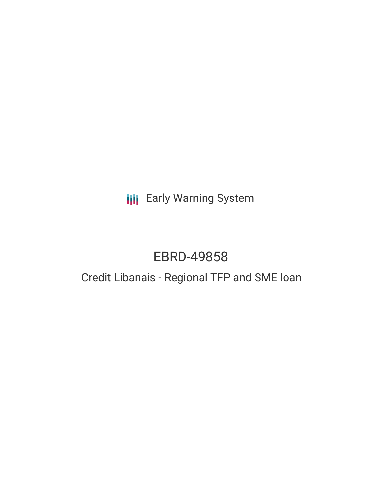## **III** Early Warning System

# EBRD-49858

## Credit Libanais - Regional TFP and SME loan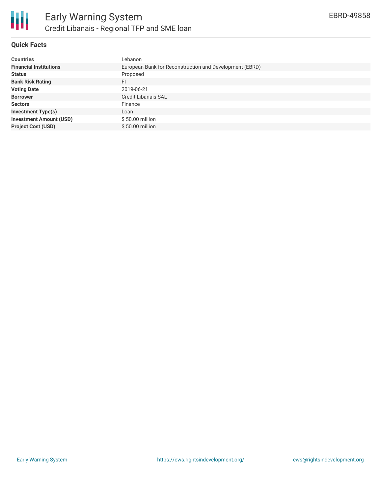

## **Quick Facts**

| <b>Countries</b>               | Lebanon                                                 |
|--------------------------------|---------------------------------------------------------|
| <b>Financial Institutions</b>  | European Bank for Reconstruction and Development (EBRD) |
| <b>Status</b>                  | Proposed                                                |
| <b>Bank Risk Rating</b>        | FI                                                      |
| <b>Voting Date</b>             | 2019-06-21                                              |
| <b>Borrower</b>                | <b>Credit Libanais SAL</b>                              |
| <b>Sectors</b>                 | Finance                                                 |
| <b>Investment Type(s)</b>      | Loan                                                    |
| <b>Investment Amount (USD)</b> | $$50.00$ million                                        |
| <b>Project Cost (USD)</b>      | $$50.00$ million                                        |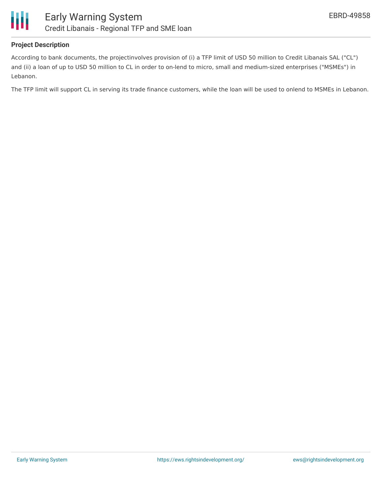



### **Project Description**

According to bank documents, the projectinvolves provision of (i) a TFP limit of USD 50 million to Credit Libanais SAL ("CL") and (ii) a loan of up to USD 50 million to CL in order to on-lend to micro, small and medium-sized enterprises ("MSMEs") in Lebanon.

The TFP limit will support CL in serving its trade finance customers, while the loan will be used to onlend to MSMEs in Lebanon.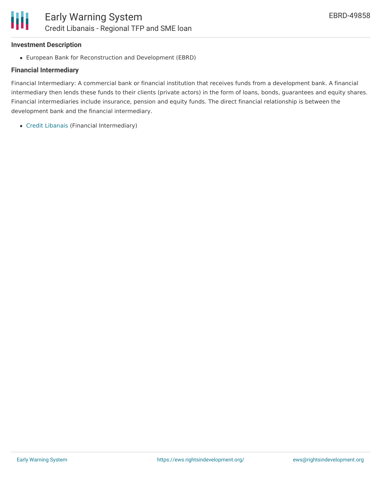## **Investment Description**

European Bank for Reconstruction and Development (EBRD)

## **Financial Intermediary**

Financial Intermediary: A commercial bank or financial institution that receives funds from a development bank. A financial intermediary then lends these funds to their clients (private actors) in the form of loans, bonds, guarantees and equity shares. Financial intermediaries include insurance, pension and equity funds. The direct financial relationship is between the development bank and the financial intermediary.

Credit [Libanais](file:///actor/622/) (Financial Intermediary)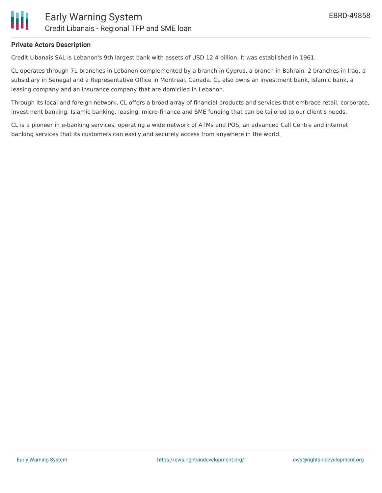

### **Private Actors Description**

Credit Libanais SAL is Lebanon's 9th largest bank with assets of USD 12.4 billion. It was established in 1961.

CL operates through 71 branches in Lebanon complemented by a branch in Cyprus, a branch in Bahrain, 2 branches in Iraq, a subsidiary in Senegal and a Representative Office in Montreal, Canada. CL also owns an investment bank, Islamic bank, a leasing company and an insurance company that are domiciled in Lebanon.

Through its local and foreign network, CL offers a broad array of financial products and services that embrace retail, corporate, investment banking, Islamic banking, leasing, micro-finance and SME funding that can be tailored to our client's needs.

CL is a pioneer in e-banking services, operating a wide network of ATMs and POS, an advanced Call Centre and internet banking services that its customers can easily and securely access from anywhere in the world.